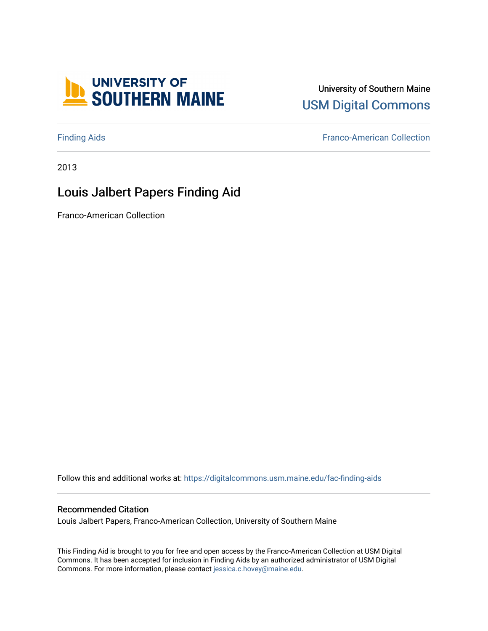

## University of Southern Maine [USM Digital Commons](https://digitalcommons.usm.maine.edu/)

[Finding Aids](https://digitalcommons.usm.maine.edu/fac-finding-aids) [Franco-American Collection](https://digitalcommons.usm.maine.edu/franco) 

2013

# Louis Jalbert Papers Finding Aid

Franco-American Collection

Follow this and additional works at: [https://digitalcommons.usm.maine.edu/fac-finding-aids](https://digitalcommons.usm.maine.edu/fac-finding-aids?utm_source=digitalcommons.usm.maine.edu%2Ffac-finding-aids%2F13&utm_medium=PDF&utm_campaign=PDFCoverPages)

#### Recommended Citation

Louis Jalbert Papers, Franco-American Collection, University of Southern Maine

This Finding Aid is brought to you for free and open access by the Franco-American Collection at USM Digital Commons. It has been accepted for inclusion in Finding Aids by an authorized administrator of USM Digital Commons. For more information, please contact [jessica.c.hovey@maine.edu.](mailto:ian.fowler@maine.edu)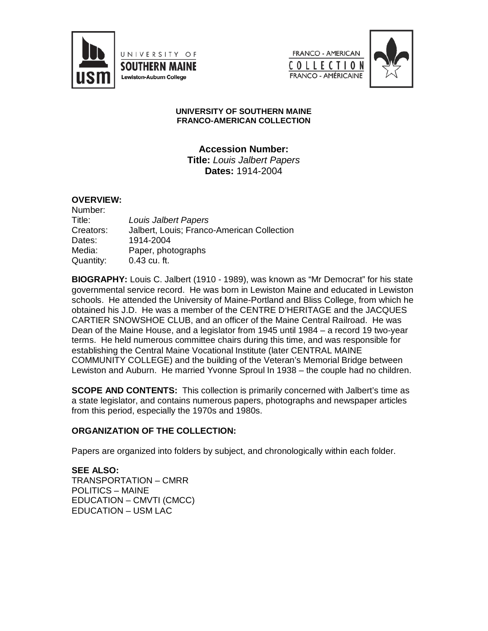

UNIVERSITY OF **SOUTHERN MAINE** Lewiston-Auburn College





#### **UNIVERSITY OF SOUTHERN MAINE FRANCO-AMERICAN COLLECTION**

**Accession Number: Title:** *Louis Jalbert Papers* **Dates:** 1914-2004

#### **OVERVIEW:**

| Number:   |                                            |
|-----------|--------------------------------------------|
| Title:    | Louis Jalbert Papers                       |
| Creators: | Jalbert, Louis; Franco-American Collection |
| Dates:    | 1914-2004                                  |
| Media:    | Paper, photographs                         |
| Quantity: | $0.43$ cu. ft.                             |

**BIOGRAPHY:** Louis C. Jalbert (1910 - 1989), was known as "Mr Democrat" for his state governmental service record. He was born in Lewiston Maine and educated in Lewiston schools. He attended the University of Maine-Portland and Bliss College, from which he obtained his J.D. He was a member of the CENTRE D'HERITAGE and the JACQUES CARTIER SNOWSHOE CLUB, and an officer of the Maine Central Railroad. He was Dean of the Maine House, and a legislator from 1945 until 1984 – a record 19 two-year terms. He held numerous committee chairs during this time, and was responsible for establishing the Central Maine Vocational Institute (later CENTRAL MAINE COMMUNITY COLLEGE) and the building of the Veteran's Memorial Bridge between Lewiston and Auburn. He married Yvonne Sproul In 1938 – the couple had no children.

**SCOPE AND CONTENTS:** This collection is primarily concerned with Jalbert's time as a state legislator, and contains numerous papers, photographs and newspaper articles from this period, especially the 1970s and 1980s.

#### **ORGANIZATION OF THE COLLECTION:**

Papers are organized into folders by subject, and chronologically within each folder.

**SEE ALSO:** TRANSPORTATION – CMRR POLITICS – MAINE EDUCATION – CMVTI (CMCC) EDUCATION – USM LAC